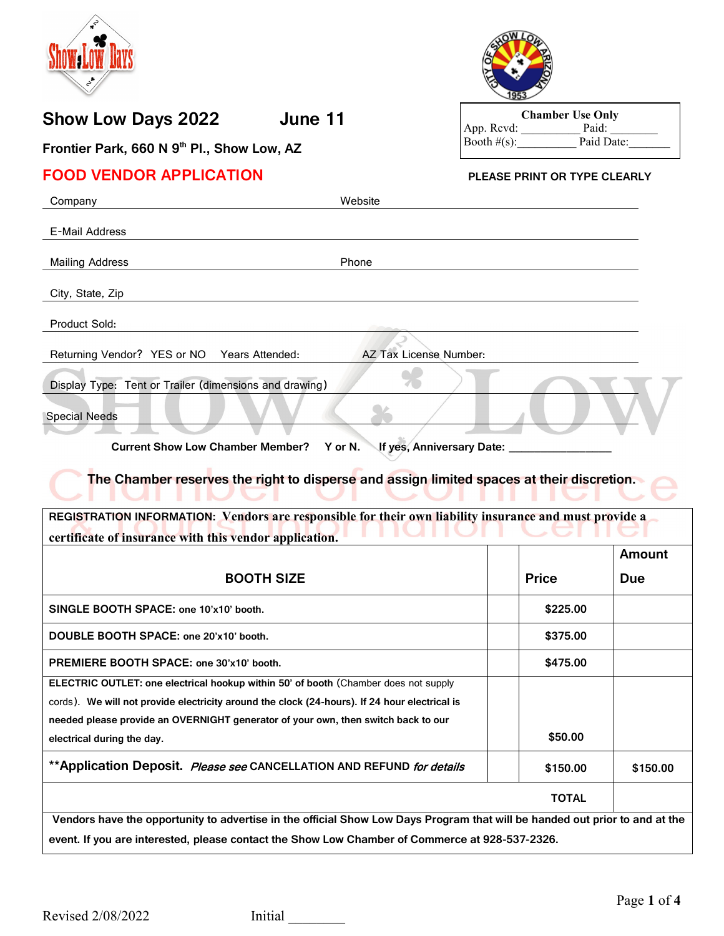

# **Show Low Days 2022 June 11**



**Chamber Use Only** App. Rcvd: Paid: Paid: Booth #(s): Paid Date: Booth  $\#(s)$ :

**Frontier Park, 660 N 9th Pl., Show Low, AZ**

## **FOOD VENDOR APPLICATION PLEASE PRINT OR TYPE CLEARLY**

| Company                                                                                                                                                                              | Website                              |              |            |
|--------------------------------------------------------------------------------------------------------------------------------------------------------------------------------------|--------------------------------------|--------------|------------|
| E-Mail Address                                                                                                                                                                       |                                      |              |            |
| <b>Mailing Address</b>                                                                                                                                                               | Phone                                |              |            |
| City, State, Zip                                                                                                                                                                     |                                      |              |            |
| Product Sold:                                                                                                                                                                        |                                      |              |            |
| Returning Vendor? YES or NO<br>Years Attended:                                                                                                                                       | AZ Tax License Number:               |              |            |
| Display Type: Tent or Trailer (dimensions and drawing)<br><b>Special Needs</b>                                                                                                       |                                      |              |            |
| <b>Current Show Low Chamber Member?</b>                                                                                                                                              | If yes, Anniversary Date:<br>Y or N. |              |            |
| The Chamber reserves the right to disperse and assign limited spaces at their discretion.                                                                                            |                                      |              |            |
| REGISTRATION INFORMATION: Vendors are responsible for their own liability insurance and must provide a<br>certificate of insurance with this vendor application.                     |                                      |              |            |
|                                                                                                                                                                                      |                                      |              | Amount     |
| <b>BOOTH SIZE</b>                                                                                                                                                                    |                                      | <b>Price</b> | <b>Due</b> |
| SINGLE BOOTH SPACE: one 10'x10' booth.                                                                                                                                               |                                      | \$225.00     |            |
| DOUBLE BOOTH SPACE: one 20'x10' booth.                                                                                                                                               |                                      | \$375.00     |            |
| PREMIERE BOOTH SPACE: one 30'x10' booth.                                                                                                                                             |                                      | \$475.00     |            |
| ELECTRIC OUTLET: one electrical hookup within 50' of booth (Chamber does not supply<br>cords). We will not provide electricity around the clock (24-hours). If 24 hour electrical is |                                      |              |            |
| needed please provide an OVERNIGHT generator of your own, then switch back to our                                                                                                    |                                      |              |            |
| electrical during the day.                                                                                                                                                           |                                      | \$50.00      |            |
| ** Application Deposit. Please see CANCELLATION AND REFUND for details                                                                                                               |                                      | \$150.00     | \$150.00   |
|                                                                                                                                                                                      |                                      |              |            |
|                                                                                                                                                                                      |                                      | <b>TOTAL</b> |            |

**event. If you are interested, please contact the Show Low Chamber of Commerce at 928-537-2326.**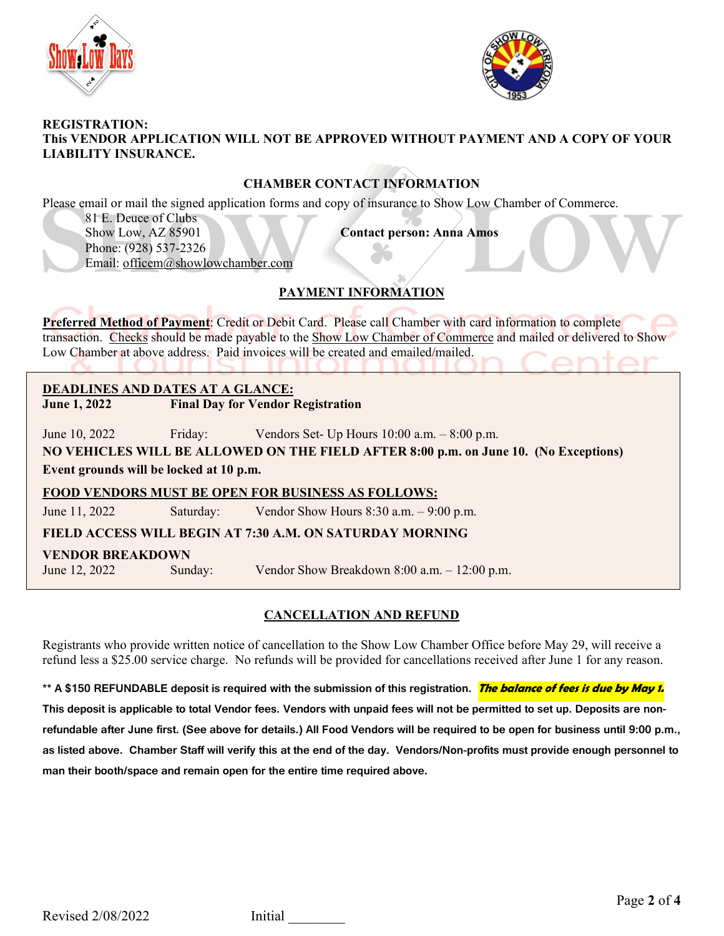



#### **REGISTRATION: This VENDOR APPLICATION WILL NOT BE APPROVED WITHOUT PAYMENT AND A COPY OF YOUR LIABILITY INSURANCE.**

### **CHAMBER CONTACT INFORMATION**

Please email or mail the signed application forms and copy of insurance to Show Low Chamber of Commerce.

81 E. Deuce of Clubs Show Low, AZ 85901 **Contact person: Anna Amos** Phone: (928) 537-2326 Email: [officem@showlowchamber.com](mailto:officem@showlowchamber.com)

# **PAYMENT INFORMATION**

**Preferred Method of Payment**: Credit or Debit Card. Please call Chamber with card information to complete transaction. Checks should be made payable to the Show Low Chamber of Commerce and mailed or delivered to Show Low Chamber at above address. Paid invoices will be created and emailed/mailed.

# **DEADLINES AND DATES AT A GLANCE:**

**June 1, 2022 Final Day for Vendor Registration**

June 10, 2022 Friday: Vendors Set- Up Hours 10:00 a.m. – 8:00 p.m.

**NO VEHICLES WILL BE ALLOWED ON THE FIELD AFTER 8:00 p.m. on June 10. (No Exceptions) Event grounds will be locked at 10 p.m.**

### **FOOD VENDORS MUST BE OPEN FOR BUSINESS AS FOLLOWS:**

June 11, 2022 Saturday: Vendor Show Hours 8:30 a.m. – 9:00 p.m.

**FIELD ACCESS WILL BEGIN AT 7:30 A.M. ON SATURDAY MORNING**

### **VENDOR BREAKDOWN**

June 12, 2022 Sunday: Vendor Show Breakdown 8:00 a.m. – 12:00 p.m.

## **CANCELLATION AND REFUND**

Registrants who provide written notice of cancellation to the Show Low Chamber Office before May 29, will receive a refund less a \$25.00 service charge. No refunds will be provided for cancellations received after June 1 for any reason.

**\*\* A \$150 REFUNDABLE deposit is required with the submission of this registration. The balance of fees is due by May 1. This deposit is applicable to total Vendor fees. Vendors with unpaid fees will not be permitted to set up. Deposits are nonrefundable after June first. (See above for details.) All Food Vendors will be required to be open for business until 9:00 p.m., as listed above. Chamber Staff will verify this at the end of the day. Vendors/Non-profits must provide enough personnel to man their booth/space and remain open for the entire time required above.**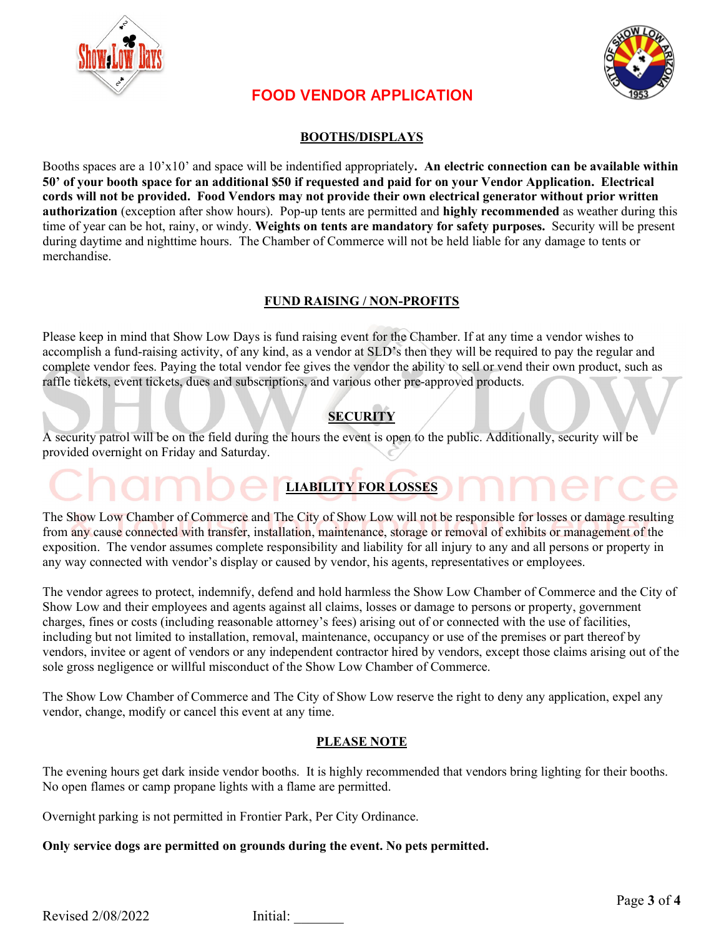



# **FOOD VENDOR APPLICATION**

### **BOOTHS/DISPLAYS**

Booths spaces are a 10'x10' and space will be indentified appropriately**. An electric connection can be available within 50' of your booth space for an additional \$50 if requested and paid for on your Vendor Application. Electrical cords will not be provided. Food Vendors may not provide their own electrical generator without prior written authorization** (exception after show hours).Pop-up tents are permitted and **highly recommended** as weather during this time of year can be hot, rainy, or windy. **Weights on tents are mandatory for safety purposes.** Security will be present during daytime and nighttime hours. The Chamber of Commerce will not be held liable for any damage to tents or merchandise.

### **FUND RAISING / NON-PROFITS**

Please keep in mind that Show Low Days is fund raising event for the Chamber. If at any time a vendor wishes to accomplish a fund-raising activity, of any kind, as a vendor at SLD's then they will be required to pay the regular and complete vendor fees. Paying the total vendor fee gives the vendor the ability to sell or vend their own product, such as raffle tickets, event tickets, dues and subscriptions, and various other pre-approved products.

# **SECURITY**

A security patrol will be on the field during the hours the event is open to the public. Additionally, security will be provided overnight on Friday and Saturday.

The Show Low Chamber of Commerce and The City of Show Low will not be responsible for losses or damage resulting from any cause connected with transfer, installation, maintenance, storage or removal of exhibits or management of the exposition. The vendor assumes complete responsibility and liability for all injury to any and all persons or property in any way connected with vendor's display or caused by vendor, his agents, representatives or employees.

**LIABILITY FOR LOSSES**

The vendor agrees to protect, indemnify, defend and hold harmless the Show Low Chamber of Commerce and the City of Show Low and their employees and agents against all claims, losses or damage to persons or property, government charges, fines or costs (including reasonable attorney's fees) arising out of or connected with the use of facilities, including but not limited to installation, removal, maintenance, occupancy or use of the premises or part thereof by vendors, invitee or agent of vendors or any independent contractor hired by vendors, except those claims arising out of the sole gross negligence or willful misconduct of the Show Low Chamber of Commerce.

The Show Low Chamber of Commerce and The City of Show Low reserve the right to deny any application, expel any vendor, change, modify or cancel this event at any time.

### **PLEASE NOTE**

The evening hours get dark inside vendor booths. It is highly recommended that vendors bring lighting for their booths. No open flames or camp propane lights with a flame are permitted.

Overnight parking is not permitted in Frontier Park, Per City Ordinance.

**Only service dogs are permitted on grounds during the event. No pets permitted.** 

Revised 2/08/2022 Initial: \_\_\_\_\_\_\_